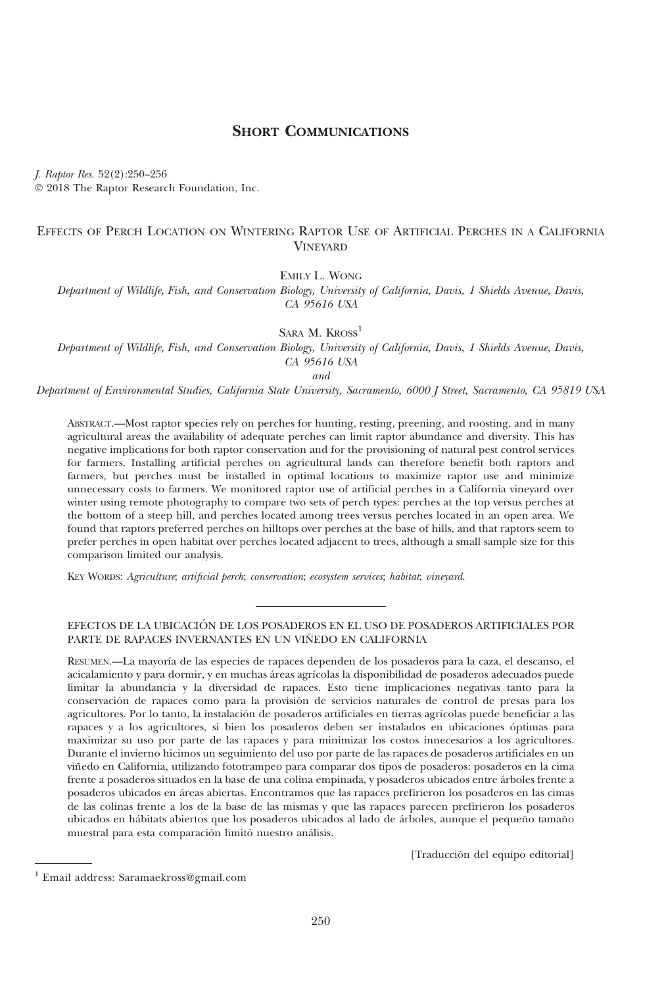# SHORT COMMUNICATIONS

J. Raptor Res. 52(2):250–256

 $© 2018$  The Raptor Research Foundation, Inc.

## EFFECTS OF PERCH LOCATION ON WINTERING RAPTOR USE OF ARTIFICIAL PERCHES IN A CALIFORNIA **VINEVARD**

EMILY L. WONG

Department of Wildlife, Fish, and Conservation Biology, University of California, Davis, 1 Shields Avenue, Davis, CA 95616 USA

SARA M. KROSS<sup>1</sup>

Department of Wildlife, Fish, and Conservation Biology, University of California, Davis, 1 Shields Avenue, Davis, CA 95616 USA

and

Department of Environmental Studies, California State University, Sacramento, 6000 J Street, Sacramento, CA 95819 USA

ABSTRACT.—Most raptor species rely on perches for hunting, resting, preening, and roosting, and in many agricultural areas the availability of adequate perches can limit raptor abundance and diversity. This has negative implications for both raptor conservation and for the provisioning of natural pest control services for farmers. Installing artificial perches on agricultural lands can therefore benefit both raptors and farmers, but perches must be installed in optimal locations to maximize raptor use and minimize unnecessary costs to farmers. We monitored raptor use of artificial perches in a California vineyard over winter using remote photography to compare two sets of perch types: perches at the top versus perches at the bottom of a steep hill, and perches located among trees versus perches located in an open area. We found that raptors preferred perches on hilltops over perches at the base of hills, and that raptors seem to prefer perches in open habitat over perches located adjacent to trees, although a small sample size for this comparison limited our analysis.

KEY WORDS: Agriculture; artificial perch; conservation; ecosystem services; habitat; vineyard.

## EFECTOS DE LA UBICACION DE LOS POSADEROS EN EL USO DE POSADEROS ARTIFICIALES POR ´ PARTE DE RAPACES INVERNANTES EN UN VIÑEDO EN CALIFORNIA

RESUMEN.—La mayoría de las especies de rapaces dependen de los posaderos para la caza, el descanso, el acicalamiento y para dormir, y en muchas áreas agrícolas la disponibilidad de posaderos adecuados puede limitar la abundancia y la diversidad de rapaces. Esto tiene implicaciones negativas tanto para la conservación de rapaces como para la provisión de servicios naturales de control de presas para los agricultores. Por lo tanto, la instalación de posaderos artificiales en tierras agrícolas puede beneficiar a las rapaces y a los agricultores, si bien los posaderos deben ser instalados en ubicaciones óptimas para maximizar su uso por parte de las rapaces y para minimizar los costos innecesarios a los agricultores. Durante el invierno hicimos un seguimiento del uso por parte de las rapaces de posaderos artificiales en un viñedo en California, utilizando fototrampeo para comparar dos tipos de posaderos: posaderos en la cima frente a posaderos situados en la base de una colina empinada, y posaderos ubicados entre árboles frente a posaderos ubicados en a´reas abiertas. Encontramos que las rapaces prefirieron los posaderos en las cimas de las colinas frente a los de la base de las mismas y que las rapaces parecen prefirieron los posaderos ubicados en hábitats abiertos que los posaderos ubicados al lado de árboles, aunque el pequeño tamaño muestral para esta comparación limitó nuestro análisis.

[Traducción del equipo editorial]

<sup>1</sup> Email address: Saramaekross@gmail.com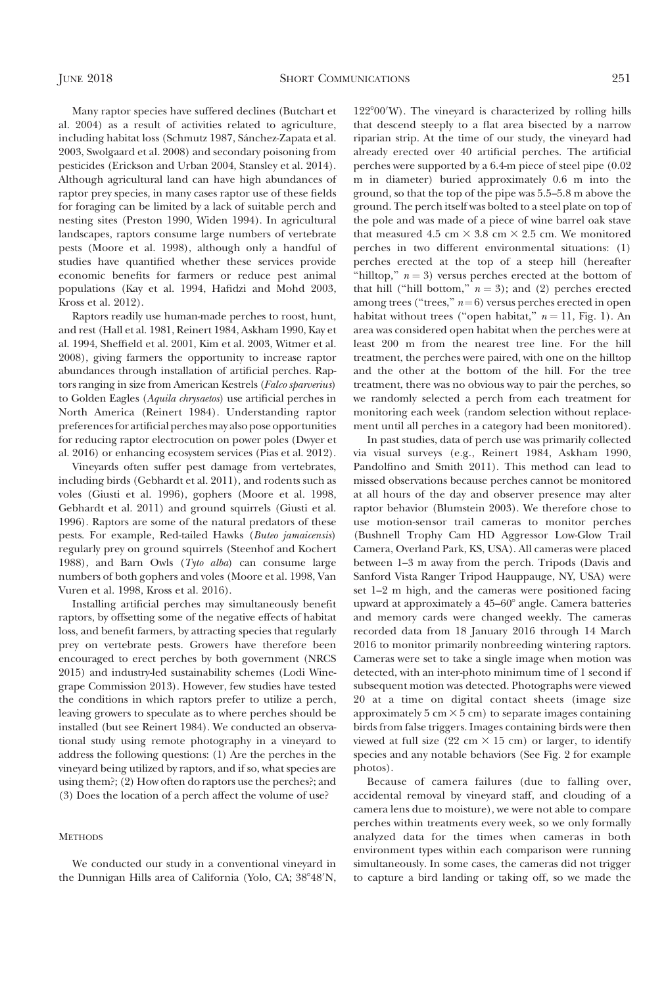Many raptor species have suffered declines (Butchart et al. 2004) as a result of activities related to agriculture, including habitat loss (Schmutz 1987, Sánchez-Zapata et al. 2003, Swolgaard et al. 2008) and secondary poisoning from pesticides (Erickson and Urban 2004, Stansley et al. 2014). Although agricultural land can have high abundances of raptor prey species, in many cases raptor use of these fields for foraging can be limited by a lack of suitable perch and nesting sites (Preston 1990, Widen 1994). In agricultural landscapes, raptors consume large numbers of vertebrate pests (Moore et al. 1998), although only a handful of studies have quantified whether these services provide economic benefits for farmers or reduce pest animal populations (Kay et al. 1994, Hafidzi and Mohd 2003, Kross et al. 2012).

Raptors readily use human-made perches to roost, hunt, and rest (Hall et al. 1981, Reinert 1984, Askham 1990, Kay et al. 1994, Sheffield et al. 2001, Kim et al. 2003, Witmer et al. 2008), giving farmers the opportunity to increase raptor abundances through installation of artificial perches. Raptors ranging in size from American Kestrels (Falco sparverius) to Golden Eagles (Aquila chrysaetos) use artificial perches in North America (Reinert 1984). Understanding raptor preferences for artificial perches may also pose opportunities for reducing raptor electrocution on power poles (Dwyer et al. 2016) or enhancing ecosystem services (Pias et al. 2012).

Vineyards often suffer pest damage from vertebrates, including birds (Gebhardt et al. 2011), and rodents such as voles (Giusti et al. 1996), gophers (Moore et al. 1998, Gebhardt et al. 2011) and ground squirrels (Giusti et al. 1996). Raptors are some of the natural predators of these pests. For example, Red-tailed Hawks (Buteo jamaicensis) regularly prey on ground squirrels (Steenhof and Kochert 1988), and Barn Owls (Tyto alba) can consume large numbers of both gophers and voles (Moore et al. 1998, Van Vuren et al. 1998, Kross et al. 2016).

Installing artificial perches may simultaneously benefit raptors, by offsetting some of the negative effects of habitat loss, and benefit farmers, by attracting species that regularly prey on vertebrate pests. Growers have therefore been encouraged to erect perches by both government (NRCS 2015) and industry-led sustainability schemes (Lodi Winegrape Commission 2013). However, few studies have tested the conditions in which raptors prefer to utilize a perch, leaving growers to speculate as to where perches should be installed (but see Reinert 1984). We conducted an observational study using remote photography in a vineyard to address the following questions: (1) Are the perches in the vineyard being utilized by raptors, and if so, what species are using them?; (2) How often do raptors use the perches?; and (3) Does the location of a perch affect the volume of use?

### **METHODS**

We conducted our study in a conventional vineyard in the Dunnigan Hills area of California (Yolo, CA; 38°48'N,

122°00'W). The vineyard is characterized by rolling hills that descend steeply to a flat area bisected by a narrow riparian strip. At the time of our study, the vineyard had already erected over 40 artificial perches. The artificial perches were supported by a 6.4-m piece of steel pipe (0.02 m in diameter) buried approximately 0.6 m into the ground, so that the top of the pipe was 5.5–5.8 m above the ground. The perch itself was bolted to a steel plate on top of the pole and was made of a piece of wine barrel oak stave that measured 4.5 cm  $\times$  3.8 cm  $\times$  2.5 cm. We monitored perches in two different environmental situations: (1) perches erected at the top of a steep hill (hereafter "hilltop,"  $n = 3$ ) versus perches erected at the bottom of that hill ("hill bottom,"  $n = 3$ ); and (2) perches erected among trees ("trees,"  $n=6$ ) versus perches erected in open habitat without trees ("open habitat,"  $n = 11$ , Fig. 1). An area was considered open habitat when the perches were at least 200 m from the nearest tree line. For the hill treatment, the perches were paired, with one on the hilltop and the other at the bottom of the hill. For the tree treatment, there was no obvious way to pair the perches, so we randomly selected a perch from each treatment for monitoring each week (random selection without replacement until all perches in a category had been monitored).

In past studies, data of perch use was primarily collected via visual surveys (e.g., Reinert 1984, Askham 1990, Pandolfino and Smith 2011). This method can lead to missed observations because perches cannot be monitored at all hours of the day and observer presence may alter raptor behavior (Blumstein 2003). We therefore chose to use motion-sensor trail cameras to monitor perches (Bushnell Trophy Cam HD Aggressor Low-Glow Trail Camera, Overland Park, KS, USA). All cameras were placed between 1–3 m away from the perch. Tripods (Davis and Sanford Vista Ranger Tripod Hauppauge, NY, USA) were set 1–2 m high, and the cameras were positioned facing upward at approximately a  $45-60^{\circ}$  angle. Camera batteries and memory cards were changed weekly. The cameras recorded data from 18 January 2016 through 14 March 2016 to monitor primarily nonbreeding wintering raptors. Cameras were set to take a single image when motion was detected, with an inter-photo minimum time of 1 second if subsequent motion was detected. Photographs were viewed 20 at a time on digital contact sheets (image size approximately  $5 \text{ cm} \times 5 \text{ cm}$  to separate images containing birds from false triggers. Images containing birds were then viewed at full size  $(22 \text{ cm} \times 15 \text{ cm})$  or larger, to identify species and any notable behaviors (See Fig. 2 for example photos).

Because of camera failures (due to falling over, accidental removal by vineyard staff, and clouding of a camera lens due to moisture), we were not able to compare perches within treatments every week, so we only formally analyzed data for the times when cameras in both environment types within each comparison were running simultaneously. In some cases, the cameras did not trigger to capture a bird landing or taking off, so we made the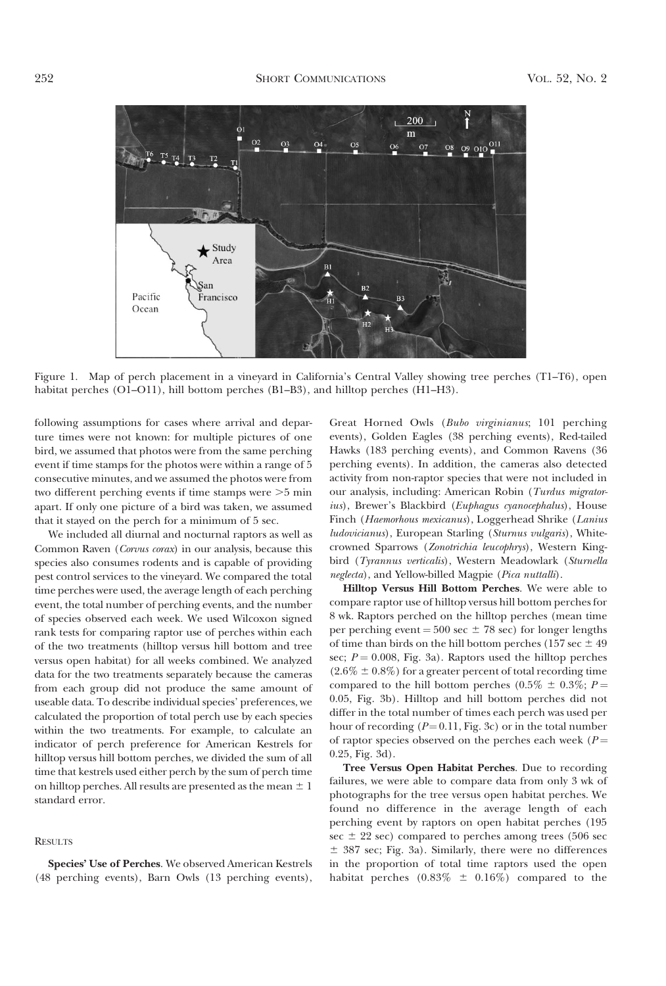

Figure 1. Map of perch placement in a vineyard in California's Central Valley showing tree perches (T1–T6), open habitat perches (O1–O11), hill bottom perches (B1–B3), and hilltop perches (H1–H3).

following assumptions for cases where arrival and departure times were not known: for multiple pictures of one bird, we assumed that photos were from the same perching event if time stamps for the photos were within a range of 5 consecutive minutes, and we assumed the photos were from two different perching events if time stamps were  $>5$  min apart. If only one picture of a bird was taken, we assumed that it stayed on the perch for a minimum of 5 sec.

We included all diurnal and nocturnal raptors as well as Common Raven (Corvus corax) in our analysis, because this species also consumes rodents and is capable of providing pest control services to the vineyard. We compared the total time perches were used, the average length of each perching event, the total number of perching events, and the number of species observed each week. We used Wilcoxon signed rank tests for comparing raptor use of perches within each of the two treatments (hilltop versus hill bottom and tree versus open habitat) for all weeks combined. We analyzed data for the two treatments separately because the cameras from each group did not produce the same amount of useable data. To describe individual species' preferences, we calculated the proportion of total perch use by each species within the two treatments. For example, to calculate an indicator of perch preference for American Kestrels for hilltop versus hill bottom perches, we divided the sum of all time that kestrels used either perch by the sum of perch time on hilltop perches. All results are presented as the mean  $\pm 1$ standard error.

## RESULTS

Species' Use of Perches. We observed American Kestrels (48 perching events), Barn Owls (13 perching events), Great Horned Owls (Bubo virginianus; 101 perching events), Golden Eagles (38 perching events), Red-tailed Hawks (183 perching events), and Common Ravens (36 perching events). In addition, the cameras also detected activity from non-raptor species that were not included in our analysis, including: American Robin (Turdus migratorius), Brewer's Blackbird (Euphagus cyanocephalus), House Finch (Haemorhous mexicanus), Loggerhead Shrike (Lanius ludovicianus), European Starling (Sturnus vulgaris), Whitecrowned Sparrows (Zonotrichia leucophrys), Western Kingbird (Tyrannus verticalis), Western Meadowlark (Sturnella neglecta), and Yellow-billed Magpie (Pica nuttalli).

Hilltop Versus Hill Bottom Perches. We were able to compare raptor use of hilltop versus hill bottom perches for 8 wk. Raptors perched on the hilltop perches (mean time per perching event  $= 500$  sec  $\pm 78$  sec) for longer lengths of time than birds on the hill bottom perches (157 sec  $\pm$  49 sec;  $P = 0.008$ , Fig. 3a). Raptors used the hilltop perches  $(2.6\% \pm 0.8\%)$  for a greater percent of total recording time compared to the hill bottom perches (0.5%  $\pm$  0.3%; P = 0.05, Fig. 3b). Hilltop and hill bottom perches did not differ in the total number of times each perch was used per hour of recording  $(P=0.11, Fig. 3c)$  or in the total number of raptor species observed on the perches each week ( $P =$ 0.25, Fig. 3d).

Tree Versus Open Habitat Perches. Due to recording failures, we were able to compare data from only 3 wk of photographs for the tree versus open habitat perches. We found no difference in the average length of each perching event by raptors on open habitat perches (195 sec  $\pm$  22 sec) compared to perches among trees (506 sec  $\pm$  387 sec; Fig. 3a). Similarly, there were no differences in the proportion of total time raptors used the open habitat perches  $(0.83\% \pm 0.16\%)$  compared to the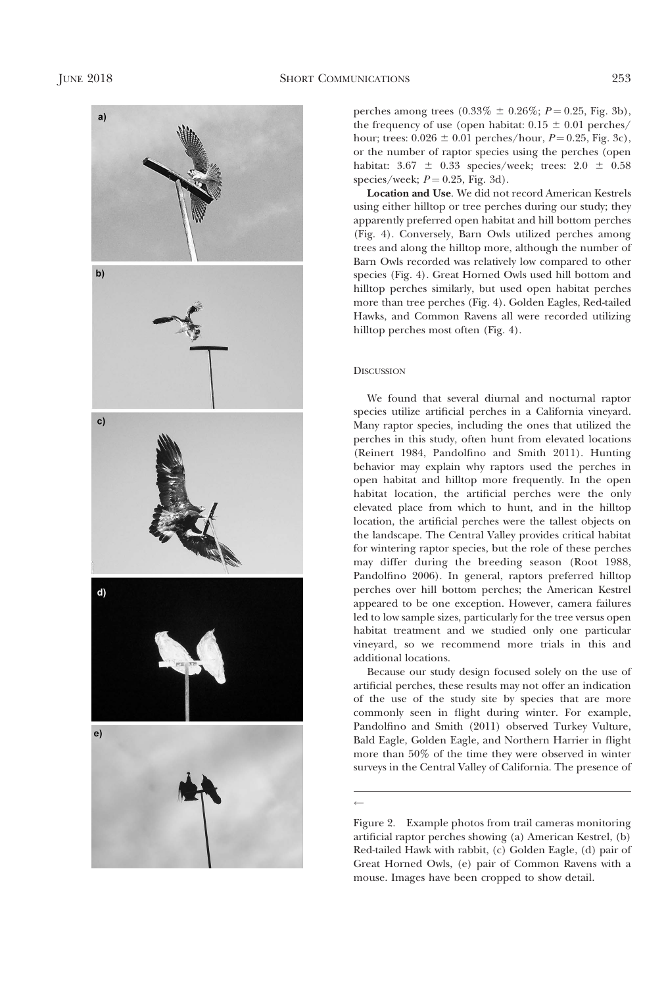

perches among trees  $(0.33\% \pm 0.26\%; P = 0.25, Fig. 3b)$ , the frequency of use (open habitat:  $0.15 \pm 0.01$  perches/ hour; trees:  $0.026 \pm 0.01$  perches/hour,  $P = 0.25$ , Fig. 3c), or the number of raptor species using the perches (open habitat:  $3.67 \pm 0.33$  species/week; trees:  $2.0 \pm 0.58$ species/week;  $P = 0.25$ , Fig. 3d).

Location and Use. We did not record American Kestrels using either hilltop or tree perches during our study; they apparently preferred open habitat and hill bottom perches (Fig. 4). Conversely, Barn Owls utilized perches among trees and along the hilltop more, although the number of Barn Owls recorded was relatively low compared to other species (Fig. 4). Great Horned Owls used hill bottom and hilltop perches similarly, but used open habitat perches more than tree perches (Fig. 4). Golden Eagles, Red-tailed Hawks, and Common Ravens all were recorded utilizing hilltop perches most often (Fig. 4).

## **DISCUSSION**

We found that several diurnal and nocturnal raptor species utilize artificial perches in a California vineyard. Many raptor species, including the ones that utilized the perches in this study, often hunt from elevated locations (Reinert 1984, Pandolfino and Smith 2011). Hunting behavior may explain why raptors used the perches in open habitat and hilltop more frequently. In the open habitat location, the artificial perches were the only elevated place from which to hunt, and in the hilltop location, the artificial perches were the tallest objects on the landscape. The Central Valley provides critical habitat for wintering raptor species, but the role of these perches may differ during the breeding season (Root 1988, Pandolfino 2006). In general, raptors preferred hilltop perches over hill bottom perches; the American Kestrel appeared to be one exception. However, camera failures led to low sample sizes, particularly for the tree versus open habitat treatment and we studied only one particular vineyard, so we recommend more trials in this and additional locations.

Because our study design focused solely on the use of artificial perches, these results may not offer an indication of the use of the study site by species that are more commonly seen in flight during winter. For example, Pandolfino and Smith (2011) observed Turkey Vulture, Bald Eagle, Golden Eagle, and Northern Harrier in flight more than 50% of the time they were observed in winter surveys in the Central Valley of California. The presence of

 $\leftarrow$ 

Figure 2. Example photos from trail cameras monitoring artificial raptor perches showing (a) American Kestrel, (b) Red-tailed Hawk with rabbit, (c) Golden Eagle, (d) pair of Great Horned Owls, (e) pair of Common Ravens with a mouse. Images have been cropped to show detail.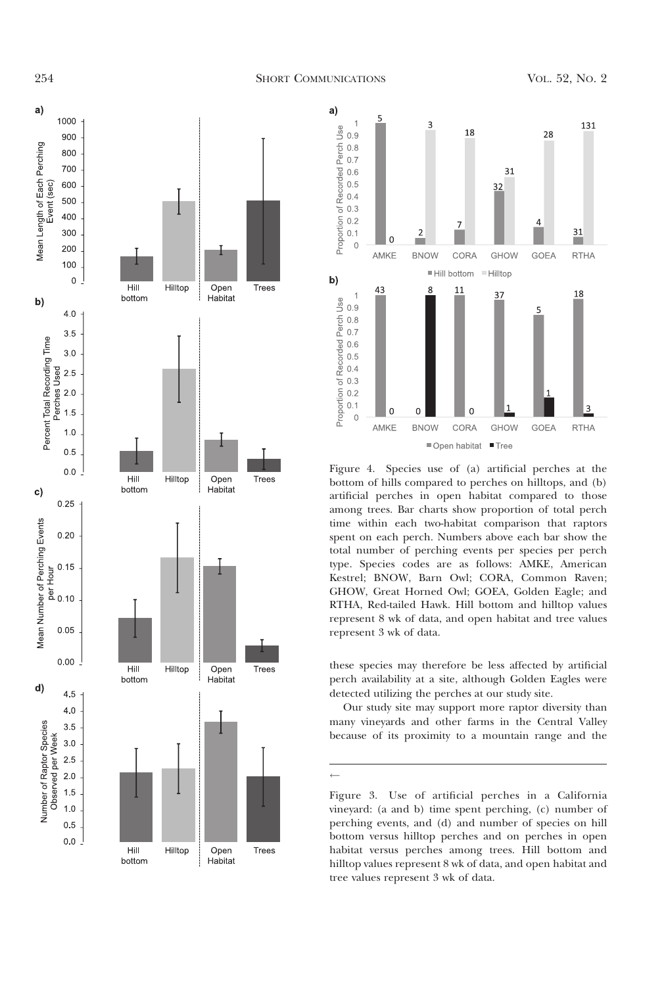



Figure 4. Species use of (a) artificial perches at the bottom of hills compared to perches on hilltops, and (b) artificial perches in open habitat compared to those among trees. Bar charts show proportion of total perch time within each two-habitat comparison that raptors spent on each perch. Numbers above each bar show the total number of perching events per species per perch type. Species codes are as follows: AMKE, American Kestrel; BNOW, Barn Owl; CORA, Common Raven; GHOW, Great Horned Owl; GOEA, Golden Eagle; and RTHA, Red-tailed Hawk. Hill bottom and hilltop values represent 8 wk of data, and open habitat and tree values represent 3 wk of data.

these species may therefore be less affected by artificial perch availability at a site, although Golden Eagles were detected utilizing the perches at our study site.

Our study site may support more raptor diversity than many vineyards and other farms in the Central Valley because of its proximity to a mountain range and the

 $\leftarrow$ 

Figure 3. Use of artificial perches in a California vineyard: (a and b) time spent perching, (c) number of perching events, and (d) and number of species on hill bottom versus hilltop perches and on perches in open habitat versus perches among trees. Hill bottom and hilltop values represent 8 wk of data, and open habitat and tree values represent 3 wk of data.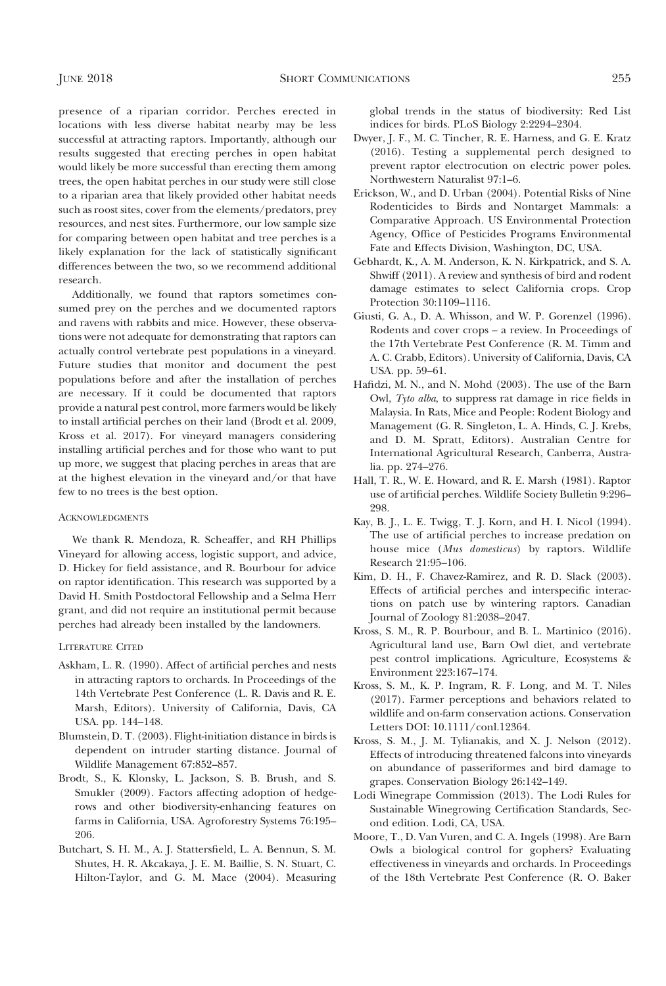presence of a riparian corridor. Perches erected in locations with less diverse habitat nearby may be less successful at attracting raptors. Importantly, although our results suggested that erecting perches in open habitat would likely be more successful than erecting them among trees, the open habitat perches in our study were still close to a riparian area that likely provided other habitat needs such as roost sites, cover from the elements/predators, prey resources, and nest sites. Furthermore, our low sample size for comparing between open habitat and tree perches is a likely explanation for the lack of statistically significant differences between the two, so we recommend additional research.

Additionally, we found that raptors sometimes consumed prey on the perches and we documented raptors and ravens with rabbits and mice. However, these observations were not adequate for demonstrating that raptors can actually control vertebrate pest populations in a vineyard. Future studies that monitor and document the pest populations before and after the installation of perches are necessary. If it could be documented that raptors provide a natural pest control, more farmers would be likely to install artificial perches on their land (Brodt et al. 2009, Kross et al. 2017). For vineyard managers considering installing artificial perches and for those who want to put up more, we suggest that placing perches in areas that are at the highest elevation in the vineyard and/or that have few to no trees is the best option.

## ACKNOWLEDGMENTS

We thank R. Mendoza, R. Scheaffer, and RH Phillips Vineyard for allowing access, logistic support, and advice, D. Hickey for field assistance, and R. Bourbour for advice on raptor identification. This research was supported by a David H. Smith Postdoctoral Fellowship and a Selma Herr grant, and did not require an institutional permit because perches had already been installed by the landowners.

#### LITERATURE CITED

- Askham, L. R. (1990). Affect of artificial perches and nests in attracting raptors to orchards. In Proceedings of the 14th Vertebrate Pest Conference (L. R. Davis and R. E. Marsh, Editors). University of California, Davis, CA USA. pp. 144–148.
- Blumstein, D. T. (2003). Flight-initiation distance in birds is dependent on intruder starting distance. Journal of Wildlife Management 67:852–857.
- Brodt, S., K. Klonsky, L. Jackson, S. B. Brush, and S. Smukler (2009). Factors affecting adoption of hedgerows and other biodiversity-enhancing features on farms in California, USA. Agroforestry Systems 76:195– 206.
- Butchart, S. H. M., A. J. Stattersfield, L. A. Bennun, S. M. Shutes, H. R. Akcakaya, J. E. M. Baillie, S. N. Stuart, C. Hilton-Taylor, and G. M. Mace (2004). Measuring

global trends in the status of biodiversity: Red List indices for birds. PLoS Biology 2:2294–2304.

- Dwyer, J. F., M. C. Tincher, R. E. Harness, and G. E. Kratz (2016). Testing a supplemental perch designed to prevent raptor electrocution on electric power poles. Northwestern Naturalist 97:1–6.
- Erickson, W., and D. Urban (2004). Potential Risks of Nine Rodenticides to Birds and Nontarget Mammals: a Comparative Approach. US Environmental Protection Agency, Office of Pesticides Programs Environmental Fate and Effects Division, Washington, DC, USA.
- Gebhardt, K., A. M. Anderson, K. N. Kirkpatrick, and S. A. Shwiff (2011). A review and synthesis of bird and rodent damage estimates to select California crops. Crop Protection 30:1109–1116.
- Giusti, G. A., D. A. Whisson, and W. P. Gorenzel (1996). Rodents and cover crops – a review. In Proceedings of the 17th Vertebrate Pest Conference (R. M. Timm and A. C. Crabb, Editors). University of California, Davis, CA USA. pp. 59–61.
- Hafidzi, M. N., and N. Mohd (2003). The use of the Barn Owl, Tyto alba, to suppress rat damage in rice fields in Malaysia. In Rats, Mice and People: Rodent Biology and Management (G. R. Singleton, L. A. Hinds, C. J. Krebs, and D. M. Spratt, Editors). Australian Centre for International Agricultural Research, Canberra, Australia. pp. 274–276.
- Hall, T. R., W. E. Howard, and R. E. Marsh (1981). Raptor use of artificial perches. Wildlife Society Bulletin 9:296– 298.
- Kay, B. J., L. E. Twigg, T. J. Korn, and H. I. Nicol (1994). The use of artificial perches to increase predation on house mice (Mus domesticus) by raptors. Wildlife Research 21:95–106.
- Kim, D. H., F. Chavez-Ramirez, and R. D. Slack (2003). Effects of artificial perches and interspecific interactions on patch use by wintering raptors. Canadian Journal of Zoology 81:2038–2047.
- Kross, S. M., R. P. Bourbour, and B. L. Martinico (2016). Agricultural land use, Barn Owl diet, and vertebrate pest control implications. Agriculture, Ecosystems & Environment 223:167–174.
- Kross, S. M., K. P. Ingram, R. F. Long, and M. T. Niles (2017). Farmer perceptions and behaviors related to wildlife and on-farm conservation actions. Conservation Letters DOI: 10.1111/conl.12364.
- Kross, S. M., J. M. Tylianakis, and X. J. Nelson (2012). Effects of introducing threatened falcons into vineyards on abundance of passeriformes and bird damage to grapes. Conservation Biology 26:142–149.
- Lodi Winegrape Commission (2013). The Lodi Rules for Sustainable Winegrowing Certification Standards, Second edition. Lodi, CA, USA.
- Moore, T., D. Van Vuren, and C. A. Ingels (1998). Are Barn Owls a biological control for gophers? Evaluating effectiveness in vineyards and orchards. In Proceedings of the 18th Vertebrate Pest Conference (R. O. Baker